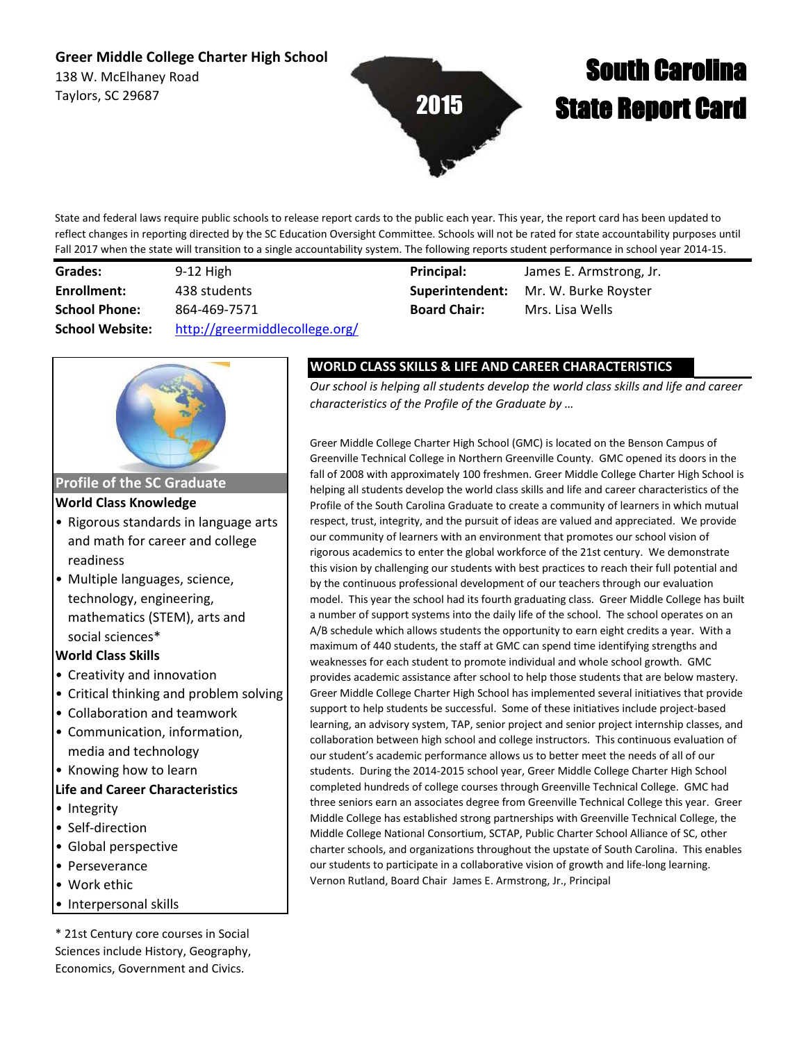# **Greer Middle College Charter High School**

138 W. McElhaney Road Taylors, SC 29687



# South Carolina State Report Card

State and federal laws require public schools to release report cards to the public each year. This year, the report card has been updated to reflect changes in reporting directed by the SC Education Oversight Committee. Schools will not be rated for state accountability purposes until Fall 2017 when the state will transition to a single accountability system. The following reports student performance in school year 2014-15.

| Grades:                | $9-12$ High                    |
|------------------------|--------------------------------|
| Enrollment:            | 438 students                   |
| <b>School Phone:</b>   | 864-469-7571                   |
| <b>School Website:</b> | http://greermiddlecollege.org/ |

**Superintendent: Board Chair:** Mrs. Lisa Wells **Principal:** James E. Armstrong, Jr.

Mr. W. Burke Royster



**Profile of the SC Graduate**

#### **World Class Knowledge**

- Rigorous standards in language arts and math for career and college readiness
- Multiple languages, science, technology, engineering, mathematics (STEM), arts and social sciences\*

## **World Class Skills**

- Creativity and innovation
- Critical thinking and problem solving
- Collaboration and teamwork
- Communication, information, media and technology
- Knowing how to learn

#### **Life and Career Characteristics**

- Integrity
- Self-direction
- Global perspective
- Perseverance
- Work ethic
- Interpersonal skills

\* 21st Century core courses in Social Sciences include History, Geography, Economics, Government and Civics.

# **WORLD CLASS SKILLS & LIFE AND CAREER CHARACTERISTICS**

*Our school is helping all students develop the world class skills and life and career characteristics of the Profile of the Graduate by …*

Greer Middle College Charter High School (GMC) is located on the Benson Campus of Greenville Technical College in Northern Greenville County. GMC opened its doors in the fall of 2008 with approximately 100 freshmen. Greer Middle College Charter High School is helping all students develop the world class skills and life and career characteristics of the Profile of the South Carolina Graduate to create a community of learners in which mutual respect, trust, integrity, and the pursuit of ideas are valued and appreciated. We provide our community of learners with an environment that promotes our school vision of rigorous academics to enter the global workforce of the 21st century. We demonstrate this vision by challenging our students with best practices to reach their full potential and by the continuous professional development of our teachers through our evaluation model. This year the school had its fourth graduating class. Greer Middle College has built a number of support systems into the daily life of the school. The school operates on an A/B schedule which allows students the opportunity to earn eight credits a year. With a maximum of 440 students, the staff at GMC can spend time identifying strengths and weaknesses for each student to promote individual and whole school growth. GMC provides academic assistance after school to help those students that are below mastery. Greer Middle College Charter High School has implemented several initiatives that provide support to help students be successful. Some of these initiatives include project-based learning, an advisory system, TAP, senior project and senior project internship classes, and collaboration between high school and college instructors. This continuous evaluation of our student's academic performance allows us to better meet the needs of all of our students. During the 2014-2015 school year, Greer Middle College Charter High School completed hundreds of college courses through Greenville Technical College. GMC had three seniors earn an associates degree from Greenville Technical College this year. Greer Middle College has established strong partnerships with Greenville Technical College, the Middle College National Consortium, SCTAP, Public Charter School Alliance of SC, other charter schools, and organizations throughout the upstate of South Carolina. This enables our students to participate in a collaborative vision of growth and life-long learning. Vernon Rutland, Board Chair James E. Armstrong, Jr., Principal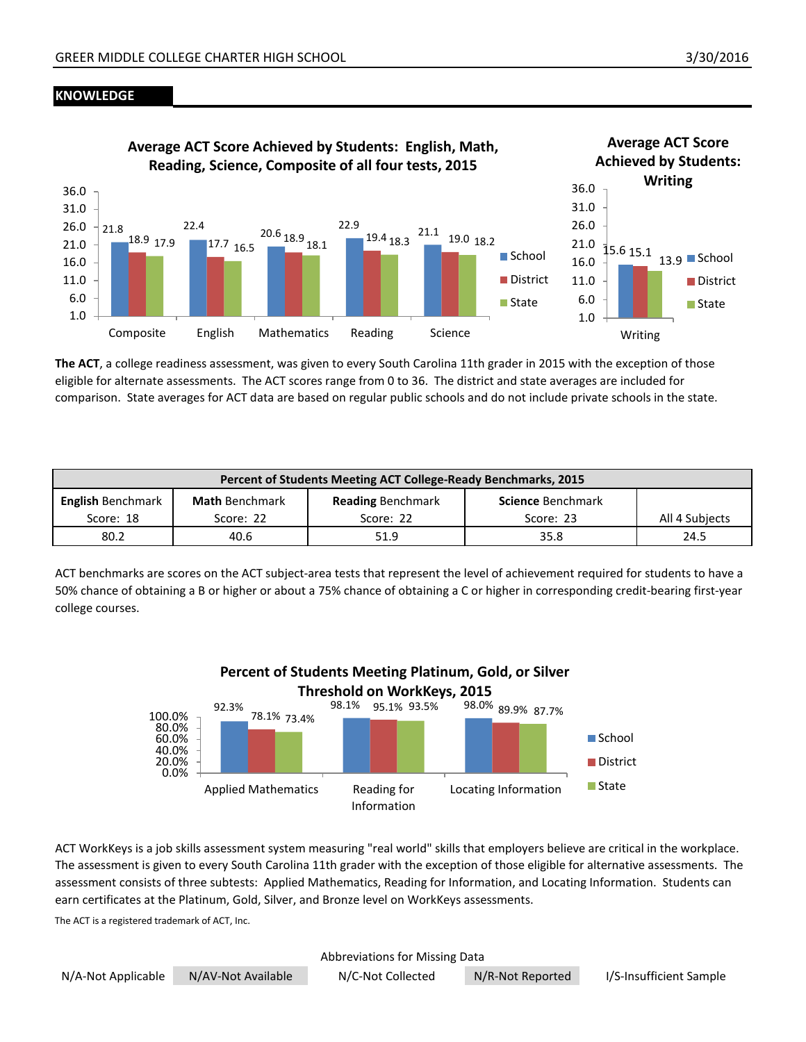#### **KNOWLEDGE**



**The ACT**, a college readiness assessment, was given to every South Carolina 11th grader in 2015 with the exception of those eligible for alternate assessments. The ACT scores range from 0 to 36. The district and state averages are included for comparison. State averages for ACT data are based on regular public schools and do not include private schools in the state.

| Percent of Students Meeting ACT College-Ready Benchmarks, 2015                                                                                                |      |      |      |                |
|---------------------------------------------------------------------------------------------------------------------------------------------------------------|------|------|------|----------------|
| <b>English Benchmark</b><br><b>Math</b> Benchmark<br><b>Reading Benchmark</b><br><b>Science Benchmark</b><br>Score: 18<br>Score: 22<br>Score: 22<br>Score: 23 |      |      |      | All 4 Subjects |
| 80.2                                                                                                                                                          | 40.6 | 51.9 | 35.8 | 24.5           |

ACT benchmarks are scores on the ACT subject-area tests that represent the level of achievement required for students to have a 50% chance of obtaining a B or higher or about a 75% chance of obtaining a C or higher in corresponding credit-bearing first-year college courses.



ACT WorkKeys is a job skills assessment system measuring "real world" skills that employers believe are critical in the workplace. The assessment is given to every South Carolina 11th grader with the exception of those eligible for alternative assessments. The assessment consists of three subtests: Applied Mathematics, Reading for Information, and Locating Information. Students can earn certificates at the Platinum, Gold, Silver, and Bronze level on WorkKeys assessments.

The ACT is a registered trademark of ACT, Inc.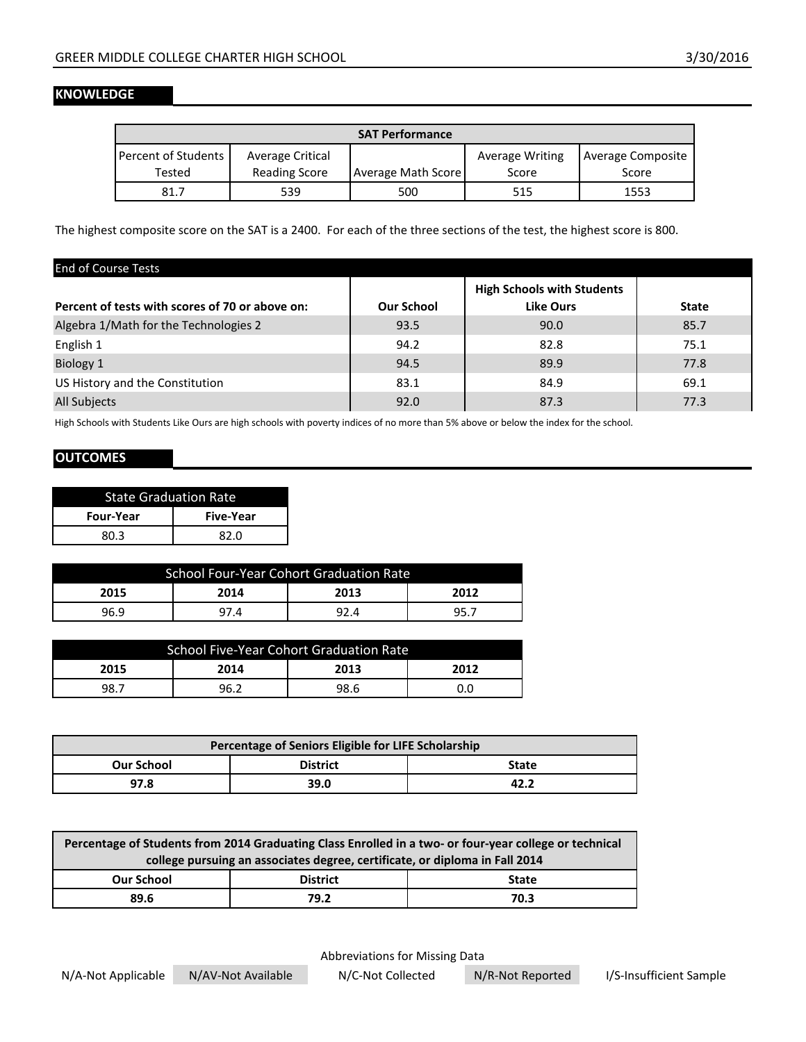#### **KNOWLEDGE**

| <b>SAT Performance</b>       |                      |                    |                        |                   |  |
|------------------------------|----------------------|--------------------|------------------------|-------------------|--|
| <b>Percent of Students I</b> | Average Critical     |                    | <b>Average Writing</b> | Average Composite |  |
| Tested                       | <b>Reading Score</b> | Average Math Score | Score                  | Score             |  |
| 81.7                         | 539                  | 500                | 515                    | 1553              |  |

The highest composite score on the SAT is a 2400. For each of the three sections of the test, the highest score is 800.

| <b>End of Course Tests</b>                      |                   |                                   |              |
|-------------------------------------------------|-------------------|-----------------------------------|--------------|
|                                                 |                   | <b>High Schools with Students</b> |              |
| Percent of tests with scores of 70 or above on: | <b>Our School</b> | <b>Like Ours</b>                  | <b>State</b> |
| Algebra 1/Math for the Technologies 2           | 93.5              | 90.0                              | 85.7         |
| English 1                                       | 94.2              | 82.8                              | 75.1         |
| Biology 1                                       | 94.5              | 89.9                              | 77.8         |
| US History and the Constitution                 | 83.1              | 84.9                              | 69.1         |
| <b>All Subjects</b>                             | 92.0              | 87.3                              | 77.3         |

High Schools with Students Like Ours are high schools with poverty indices of no more than 5% above or below the index for the school.

### **OUTCOMES**

| <b>State Graduation Rate</b>         |      |  |
|--------------------------------------|------|--|
| <b>Four-Year</b><br><b>Five-Year</b> |      |  |
| 80 3                                 | 82 O |  |

| <b>School Four-Year Cohort Graduation Rate</b> |  |  |  |  |
|------------------------------------------------|--|--|--|--|
| 2015<br>2013<br>2014<br>2012                   |  |  |  |  |
| 96.9<br>92.4<br>95<br>97.4                     |  |  |  |  |

| School Five-Year Cohort Graduation Rate |                |      |     |  |  |
|-----------------------------------------|----------------|------|-----|--|--|
| 2013<br>2015<br>2014<br>2012            |                |      |     |  |  |
| -98.,                                   | 96. $\epsilon$ | 98.6 | J.U |  |  |

| Percentage of Seniors Eligible for LIFE Scholarship  |      |      |  |  |
|------------------------------------------------------|------|------|--|--|
| <b>District</b><br><b>Our School</b><br><b>State</b> |      |      |  |  |
| 97.8                                                 | 39.0 | 42.2 |  |  |

| Percentage of Students from 2014 Graduating Class Enrolled in a two- or four-year college or technical |  |  |  |  |
|--------------------------------------------------------------------------------------------------------|--|--|--|--|
| college pursuing an associates degree, certificate, or diploma in Fall 2014                            |  |  |  |  |
| <b>District</b><br><b>Our School</b><br><b>State</b>                                                   |  |  |  |  |
| 89.6<br>79.2<br>70.3                                                                                   |  |  |  |  |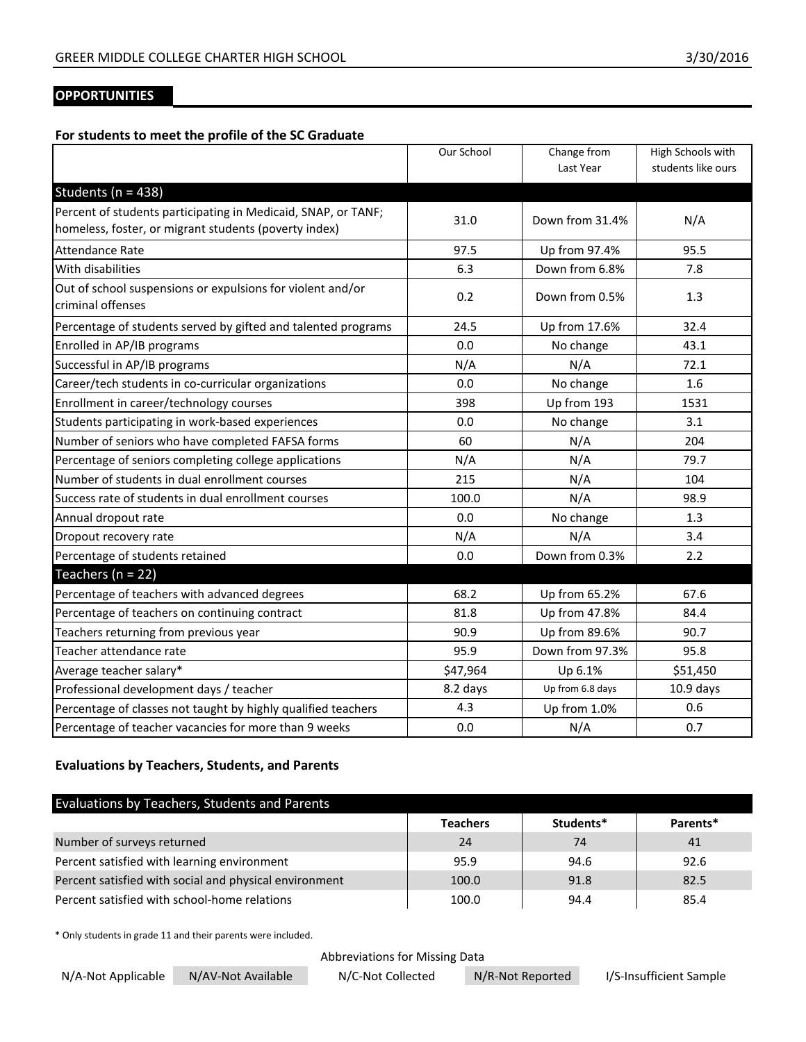# **OPPORTUNITIES**

#### **For students to meet the profile of the SC Graduate**

|                                                                                 | Our School | Change from      | High Schools with  |
|---------------------------------------------------------------------------------|------------|------------------|--------------------|
|                                                                                 |            | Last Year        | students like ours |
| Students ( $n = 438$ )                                                          |            |                  |                    |
| Percent of students participating in Medicaid, SNAP, or TANF;                   | 31.0       | Down from 31.4%  | N/A                |
| homeless, foster, or migrant students (poverty index)                           |            |                  |                    |
| <b>Attendance Rate</b>                                                          | 97.5       | Up from 97.4%    | 95.5               |
| With disabilities                                                               | 6.3        | Down from 6.8%   | 7.8                |
| Out of school suspensions or expulsions for violent and/or<br>criminal offenses | 0.2        | Down from 0.5%   | 1.3                |
| Percentage of students served by gifted and talented programs                   | 24.5       | Up from 17.6%    | 32.4               |
| Enrolled in AP/IB programs                                                      | 0.0        | No change        | 43.1               |
| Successful in AP/IB programs                                                    | N/A        | N/A              | 72.1               |
| Career/tech students in co-curricular organizations                             | 0.0        | No change        | 1.6                |
| Enrollment in career/technology courses                                         | 398        | Up from 193      | 1531               |
| Students participating in work-based experiences                                | 0.0        | No change        | 3.1                |
| Number of seniors who have completed FAFSA forms                                | 60         | N/A              | 204                |
| Percentage of seniors completing college applications                           | N/A        | N/A              | 79.7               |
| Number of students in dual enrollment courses                                   | 215        | N/A              | 104                |
| Success rate of students in dual enrollment courses                             | 100.0      | N/A              | 98.9               |
| Annual dropout rate                                                             | 0.0        | No change        | 1.3                |
| Dropout recovery rate                                                           | N/A        | N/A              | 3.4                |
| Percentage of students retained                                                 | 0.0        | Down from 0.3%   | 2.2                |
| Teachers ( $n = 22$ )                                                           |            |                  |                    |
| Percentage of teachers with advanced degrees                                    | 68.2       | Up from 65.2%    | 67.6               |
| Percentage of teachers on continuing contract                                   | 81.8       | Up from 47.8%    | 84.4               |
| Teachers returning from previous year                                           | 90.9       | Up from 89.6%    | 90.7               |
| Teacher attendance rate                                                         | 95.9       | Down from 97.3%  | 95.8               |
| Average teacher salary*                                                         | \$47,964   | Up 6.1%          | \$51,450           |
| Professional development days / teacher                                         | 8.2 days   | Up from 6.8 days | $10.9$ days        |
| Percentage of classes not taught by highly qualified teachers                   | 4.3        | Up from 1.0%     | 0.6                |
| Percentage of teacher vacancies for more than 9 weeks                           | 0.0        | N/A              | 0.7                |

#### **Evaluations by Teachers, Students, and Parents**

| Evaluations by Teachers, Students and Parents          |                 |           |          |
|--------------------------------------------------------|-----------------|-----------|----------|
|                                                        | <b>Teachers</b> | Students* | Parents* |
| Number of surveys returned                             | 24              | 74        | 41       |
| Percent satisfied with learning environment            | 95.9            | 94.6      | 92.6     |
| Percent satisfied with social and physical environment | 100.0           | 91.8      | 82.5     |
| Percent satisfied with school-home relations           | 100.0           | 94.4      | 85.4     |

\* Only students in grade 11 and their parents were included.

Abbreviations for Missing Data